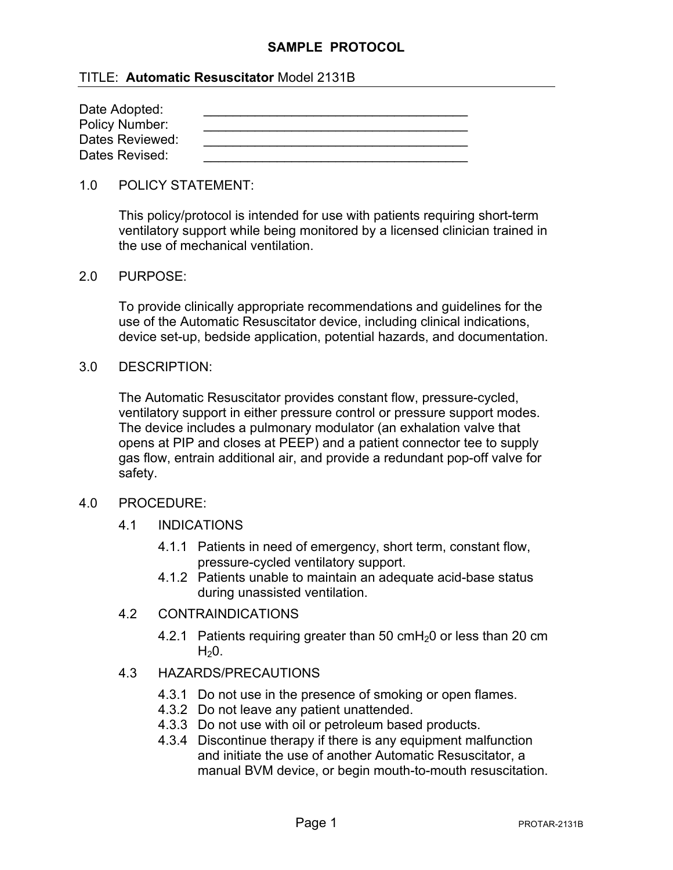## **SAMPLE PROTOCOL**

## TITLE: **Automatic Resuscitator** Model 2131B

| Date Adopted:   |  |
|-----------------|--|
| Policy Number:  |  |
| Dates Reviewed: |  |
| Dates Revised:  |  |

#### 1.0 POLICY STATEMENT:

This policy/protocol is intended for use with patients requiring short-term ventilatory support while being monitored by a licensed clinician trained in the use of mechanical ventilation.

#### 2.0 PURPOSE:

To provide clinically appropriate recommendations and guidelines for the use of the Automatic Resuscitator device, including clinical indications, device set-up, bedside application, potential hazards, and documentation.

#### 3.0 DESCRIPTION:

The Automatic Resuscitator provides constant flow, pressure-cycled, ventilatory support in either pressure control or pressure support modes. The device includes a pulmonary modulator (an exhalation valve that opens at PIP and closes at PEEP) and a patient connector tee to supply gas flow, entrain additional air, and provide a redundant pop-off valve for safety.

### 4.0 PROCEDURE:

- 4.1 INDICATIONS
	- 4.1.1 Patients in need of emergency, short term, constant flow, pressure-cycled ventilatory support.
	- 4.1.2 Patients unable to maintain an adequate acid-base status during unassisted ventilation.

### 4.2 CONTRAINDICATIONS

4.2.1 Patients requiring greater than 50  $cmH<sub>2</sub>0$  or less than 20 cm  $H<sub>2</sub>0$ .

## 4.3 HAZARDS/PRECAUTIONS

- 4.3.1 Do not use in the presence of smoking or open flames.
- 4.3.2 Do not leave any patient unattended.
- 4.3.3 Do not use with oil or petroleum based products.
- 4.3.4 Discontinue therapy if there is any equipment malfunction and initiate the use of another Automatic Resuscitator, a manual BVM device, or begin mouth-to-mouth resuscitation.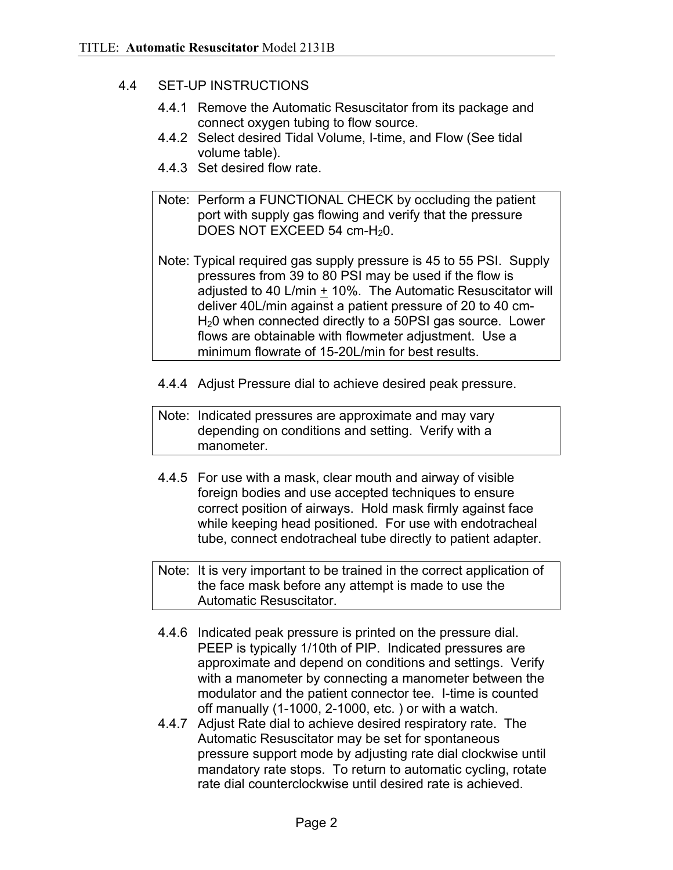# 4.4 SET-UP INSTRUCTIONS

- 4.4.1 Remove the Automatic Resuscitator from its package and connect oxygen tubing to flow source.
- 4.4.2 Select desired Tidal Volume, I-time, and Flow (See tidal volume table).
- 4.4.3 Set desired flow rate.
- Note: Perform a FUNCTIONAL CHECK by occluding the patient port with supply gas flowing and verify that the pressure DOES NOT EXCEED 54 cm-H<sub>2</sub>0.
- Note: Typical required gas supply pressure is 45 to 55 PSI. Supply pressures from 39 to 80 PSI may be used if the flow is adjusted to 40 L/min + 10%. The Automatic Resuscitator will deliver 40L/min against a patient pressure of 20 to 40 cm-H<sub>2</sub>0 when connected directly to a 50PSI gas source. Lower flows are obtainable with flowmeter adjustment. Use a minimum flowrate of 15-20L/min for best results.
- 4.4.4 Adjust Pressure dial to achieve desired peak pressure.
- Note: Indicated pressures are approximate and may vary depending on conditions and setting. Verify with a manometer.
- 4.4.5 For use with a mask, clear mouth and airway of visible foreign bodies and use accepted techniques to ensure correct position of airways. Hold mask firmly against face while keeping head positioned. For use with endotracheal tube, connect endotracheal tube directly to patient adapter.

Note: It is very important to be trained in the correct application of the face mask before any attempt is made to use the Automatic Resuscitator.

- 4.4.6 Indicated peak pressure is printed on the pressure dial. PEEP is typically 1/10th of PIP. Indicated pressures are approximate and depend on conditions and settings. Verify with a manometer by connecting a manometer between the modulator and the patient connector tee. I-time is counted off manually (1-1000, 2-1000, etc. ) or with a watch.
- 4.4.7 Adjust Rate dial to achieve desired respiratory rate. The Automatic Resuscitator may be set for spontaneous pressure support mode by adjusting rate dial clockwise until mandatory rate stops. To return to automatic cycling, rotate rate dial counterclockwise until desired rate is achieved.